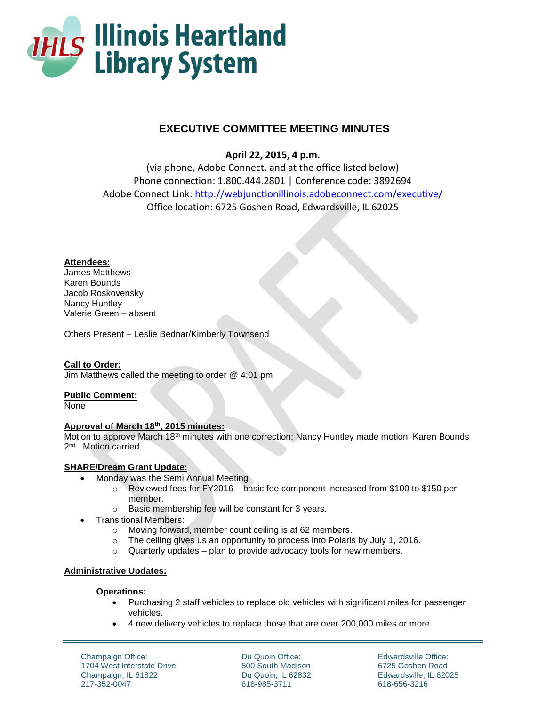

# **EXECUTIVE COMMITTEE MEETING MINUTES**

**April 22, 2015, 4 p.m.**

(via phone, Adobe Connect, and at the office listed below) Phone connection: 1.800.444.2801 | Conference code: 3892694 Adobe Connect Link: http://webjunctionillinois.adobeconnect.com/executive/ Office location: 6725 Goshen Road, Edwardsville, IL 62025

# **Attendees:**

James Matthews Karen Bounds Jacob Roskovensky Nancy Huntley Valerie Green – absent

Others Present – Leslie Bednar/Kimberly Townsend

# **Call to Order:**

Jim Matthews called the meeting to order @ 4:01 pm

#### **Public Comment:**

None

# **Approval of March 18th, 2015 minutes:**

Motion to approve March 18th minutes with one correction: Nancy Huntley made motion, Karen Bounds 2<sup>nd</sup>. Motion carried.

# **SHARE/Dream Grant Update:**

- Monday was the Semi Annual Meeting
	- o Reviewed fees for FY2016 basic fee component increased from \$100 to \$150 per member.
	- o Basic membership fee will be constant for 3 years.
- Transitional Members:
	- o Moving forward, member count ceiling is at 62 members.
	- o The ceiling gives us an opportunity to process into Polaris by July 1, 2016.
	- $\circ$  Quarterly updates plan to provide advocacy tools for new members.

# **Administrative Updates:**

#### **Operations:**

- Purchasing 2 staff vehicles to replace old vehicles with significant miles for passenger vehicles.
- 4 new delivery vehicles to replace those that are over 200,000 miles or more.

Champaign Office: 1704 West Interstate Drive Champaign, IL 61822 217-352-0047

Du Quoin Office: 500 South Madison Du Quoin, IL 62832 618-985-3711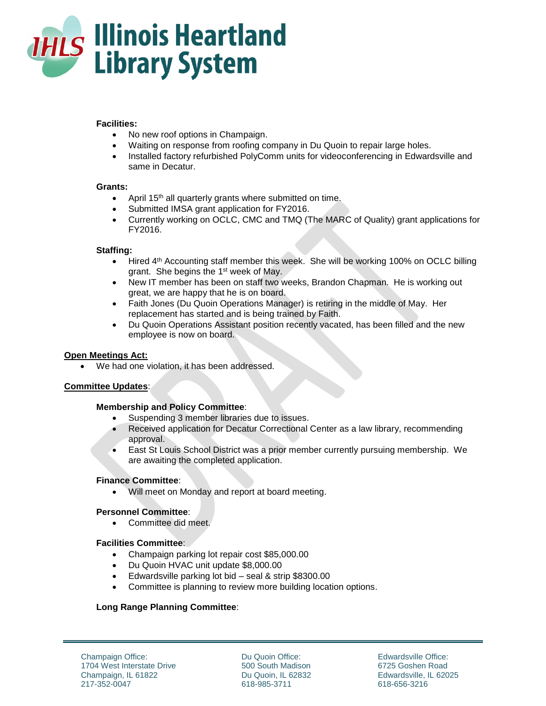

## **Facilities:**

- No new roof options in Champaign.
- Waiting on response from roofing company in Du Quoin to repair large holes.
- Installed factory refurbished PolyComm units for videoconferencing in Edwardsville and same in Decatur.

#### **Grants:**

- April 15<sup>th</sup> all quarterly grants where submitted on time.
- Submitted IMSA grant application for FY2016.
- Currently working on OCLC, CMC and TMQ (The MARC of Quality) grant applications for FY2016.

#### **Staffing:**

- Hired 4<sup>th</sup> Accounting staff member this week. She will be working 100% on OCLC billing grant. She begins the 1<sup>st</sup> week of May.
- New IT member has been on staff two weeks, Brandon Chapman. He is working out great, we are happy that he is on board.
- Faith Jones (Du Quoin Operations Manager) is retiring in the middle of May. Her replacement has started and is being trained by Faith.
- Du Quoin Operations Assistant position recently vacated, has been filled and the new employee is now on board.

## **Open Meetings Act:**

We had one violation, it has been addressed.

# **Committee Updates**:

#### **Membership and Policy Committee**:

- Suspending 3 member libraries due to issues.
- Received application for Decatur Correctional Center as a law library, recommending approval.
- East St Louis School District was a prior member currently pursuing membership. We are awaiting the completed application.

#### **Finance Committee**:

Will meet on Monday and report at board meeting.

#### **Personnel Committee**:

• Committee did meet.

#### **Facilities Committee**:

- Champaign parking lot repair cost \$85,000.00
- Du Quoin HVAC unit update \$8,000.00
- Edwardsville parking lot bid seal & strip \$8300.00
- Committee is planning to review more building location options.

# **Long Range Planning Committee**:

Champaign Office: 1704 West Interstate Drive Champaign, IL 61822 217-352-0047

Du Quoin Office: 500 South Madison Du Quoin, IL 62832 618-985-3711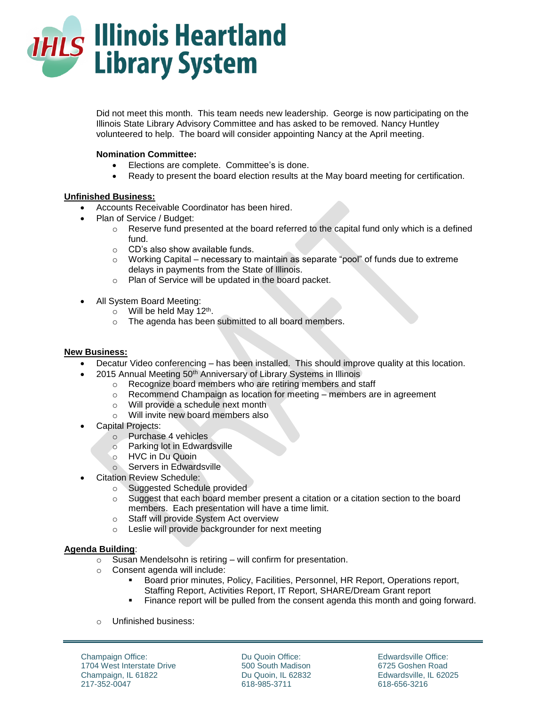

Did not meet this month. This team needs new leadership. George is now participating on the Illinois State Library Advisory Committee and has asked to be removed. Nancy Huntley volunteered to help. The board will consider appointing Nancy at the April meeting.

## **Nomination Committee:**

- Elections are complete. Committee's is done.
- Ready to present the board election results at the May board meeting for certification.

## **Unfinished Business:**

- Accounts Receivable Coordinator has been hired.
- Plan of Service / Budget:
	- $\circ$  Reserve fund presented at the board referred to the capital fund only which is a defined fund.
	- o CD's also show available funds.
	- $\circ$  Working Capital necessary to maintain as separate "pool" of funds due to extreme delays in payments from the State of Illinois.
	- o Plan of Service will be updated in the board packet.
- All System Board Meeting:
	- $\circ$  Will be held May 12<sup>th</sup>.
	- o The agenda has been submitted to all board members.

## **New Business:**

- Decatur Video conferencing has been installed. This should improve quality at this location.
- 2015 Annual Meeting 50<sup>th</sup> Anniversary of Library Systems in Illinois
	- o Recognize board members who are retiring members and staff
	- $\circ$  Recommend Champaign as location for meeting members are in agreement
	- o Will provide a schedule next month
	- o Will invite new board members also
- Capital Projects:
	- o Purchase 4 vehicles
	- o Parking lot in Edwardsville
	- o HVC in Du Quoin
	- o Servers in Edwardsville
- Citation Review Schedule:
	- o Suggested Schedule provided
	- $\circ$  Suggest that each board member present a citation or a citation section to the board members. Each presentation will have a time limit.
	- o Staff will provide System Act overview
	- o Leslie will provide backgrounder for next meeting

#### **Agenda Building**:

- o Susan Mendelsohn is retiring will confirm for presentation.
- o Consent agenda will include:
	- Board prior minutes, Policy, Facilities, Personnel, HR Report, Operations report, Staffing Report, Activities Report, IT Report, SHARE/Dream Grant report
	- Finance report will be pulled from the consent agenda this month and going forward.
- o Unfinished business:

Champaign Office: 1704 West Interstate Drive Champaign, IL 61822 217-352-0047

Du Quoin Office: 500 South Madison Du Quoin, IL 62832 618-985-3711